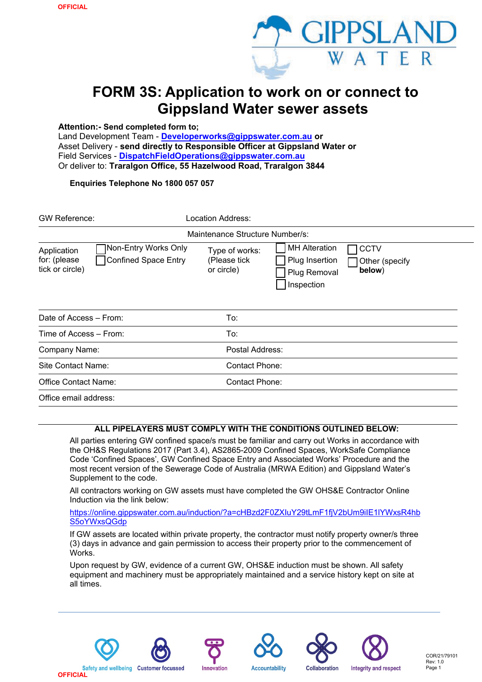



## **FORM 3S: Application to work on or connect to Gippsland Water sewer assets**

## **Attention:- Send completed form to;**

Land Development Team - **Developerworks@gippswater.com.au or** Asset Delivery - **send directly to Responsible Officer at Gippsland Water or** Field Services - **DispatchFieldOperations@gippswater.com.au**  Or deliver to: **Traralgon Office, 55 Hazelwood Road, Traralgon 3844**

**Enquiries Telephone No 1800 057 057**

| <b>GW Reference:</b>                                                                                  | Location Address:                                                                                                                                               |
|-------------------------------------------------------------------------------------------------------|-----------------------------------------------------------------------------------------------------------------------------------------------------------------|
|                                                                                                       | Maintenance Structure Number/s:                                                                                                                                 |
| Non-Entry Works Only<br>Application<br>for: (please<br><b>Confined Space Entry</b><br>tick or circle) | <b>MH</b> Alteration<br><b>CCTV</b><br>Type of works:<br>(Please tick<br>Plug Insertion<br>Other (specify<br>or circle)<br>below)<br>Plug Removal<br>Inspection |
| Date of Access - From:                                                                                | To:                                                                                                                                                             |
| Time of Access - From:                                                                                | To:                                                                                                                                                             |
| Company Name:                                                                                         | Postal Address:                                                                                                                                                 |
| Site Contact Name:                                                                                    | Contact Phone:                                                                                                                                                  |
| Office Contact Name:                                                                                  | Contact Phone:                                                                                                                                                  |
| Office email address:                                                                                 |                                                                                                                                                                 |

## **ALL PIPELAYERS MUST COMPLY WITH THE CONDITIONS OUTLINED BELOW:**

All parties entering GW confined space/s must be familiar and carry out Works in accordance with the OH&S Regulations 2017 (Part 3.4), AS2865-2009 Confined Spaces, WorkSafe Compliance Code 'Confined Spaces', GW Confined Space Entry and Associated Works' Procedure and the most recent version of the Sewerage Code of Australia (MRWA Edition) and Gippsland Water's Supplement to the code.

All contractors working on GW assets must have completed the GW OHS&E Contractor Online Induction via the link below:

https://online.gippswater.com.au/induction/?a=cHBzd2F0ZXIuY29tLmF1fjV2bUm9iIE1lYWxsR4hb S5oYWxsQGdp

If GW assets are located within private property, the contractor must notify property owner/s three (3) days in advance and gain permission to access their property prior to the commencement of Works.

Upon request by GW, evidence of a current GW, OHS&E induction must be shown. All safety equipment and machinery must be appropriately maintained and a service history kept on site at all times.





Innovation



**Accountability** 





COR/21/79101 Rev: 1.0 Page 1